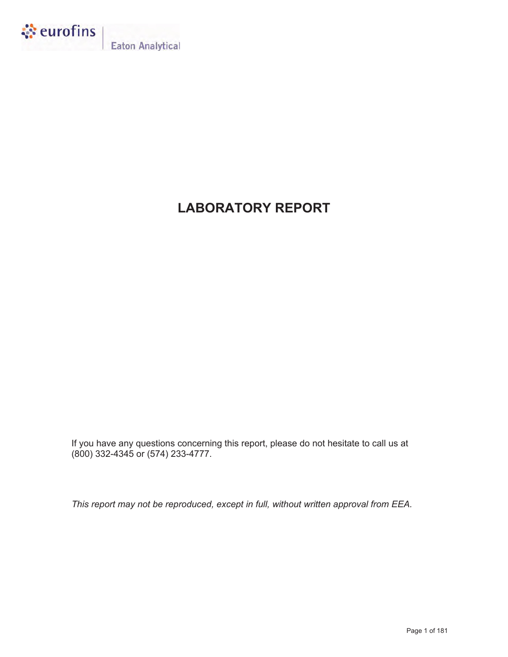

**Eaton Analytical** 

# **LABORATORY REPORT**

If you have any questions concerning this report, please do not hesitate to call us at (800) 332-4345 or (574) 233-4777.

*This report may not be reproduced, except in full, without written approval from EEA.*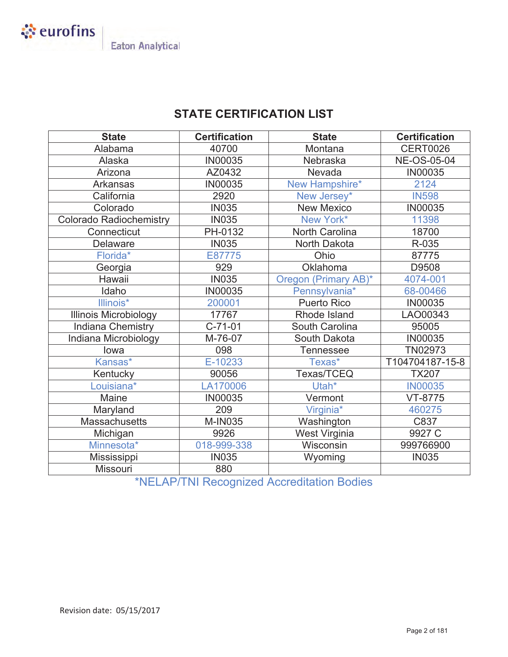

## **STATE CERTIFICATION LIST**

| <b>State</b>                   | <b>Certification</b> | <b>State</b>          | <b>Certification</b> |
|--------------------------------|----------------------|-----------------------|----------------------|
| Alabama                        | 40700                | Montana               | <b>CERT0026</b>      |
| Alaska                         | <b>IN00035</b>       | Nebraska              | <b>NE-OS-05-04</b>   |
| Arizona                        | AZ0432               | Nevada                | <b>IN00035</b>       |
| <b>Arkansas</b>                | <b>IN00035</b>       | New Hampshire*        | 2124                 |
| California                     | 2920                 | New Jersey*           | <b>IN598</b>         |
| Colorado                       | <b>IN035</b>         | <b>New Mexico</b>     | <b>IN00035</b>       |
| <b>Colorado Radiochemistry</b> | <b>IN035</b>         | New York*             | 11398                |
| Connecticut                    | PH-0132              | <b>North Carolina</b> | 18700                |
| <b>Delaware</b>                | <b>IN035</b>         | North Dakota          | R-035                |
| Florida*                       | E87775               | Ohio                  | 87775                |
| Georgia                        | 929                  | Oklahoma              | D9508                |
| Hawaii                         | <b>IN035</b>         | Oregon (Primary AB)*  | 4074-001             |
| Idaho                          | IN00035              | Pennsylvania*         | 68-00466             |
| Illinois*                      | 200001               | <b>Puerto Rico</b>    | <b>IN00035</b>       |
| <b>Illinois Microbiology</b>   | 17767                | Rhode Island          | LAO00343             |
| <b>Indiana Chemistry</b>       | $C-71-01$            | South Carolina        | 95005                |
| Indiana Microbiology           | M-76-07              | South Dakota          | <b>IN00035</b>       |
| lowa                           | 098                  | <b>Tennessee</b>      | TN02973              |
| Kansas*                        | E-10233              | Texas*                | T104704187-15-8      |
| Kentucky                       | 90056                | Texas/TCEQ            | <b>TX207</b>         |
| Louisiana*                     | LA170006             | Utah*                 | <b>IN00035</b>       |
| Maine                          | <b>IN00035</b>       | Vermont               | VT-8775              |
| Maryland                       | 209                  | Virginia*             | 460275               |
| <b>Massachusetts</b>           | <b>M-IN035</b>       | Washington            | C837                 |
| Michigan                       | 9926                 | West Virginia         | 9927 C               |
| Minnesota*                     | 018-999-338          | Wisconsin             | 999766900            |
| Mississippi                    | <b>IN035</b>         | Wyoming               | <b>IN035</b>         |
| Missouri                       | 880                  |                       |                      |

\*NELAP/TNI Recognized Accreditation Bodies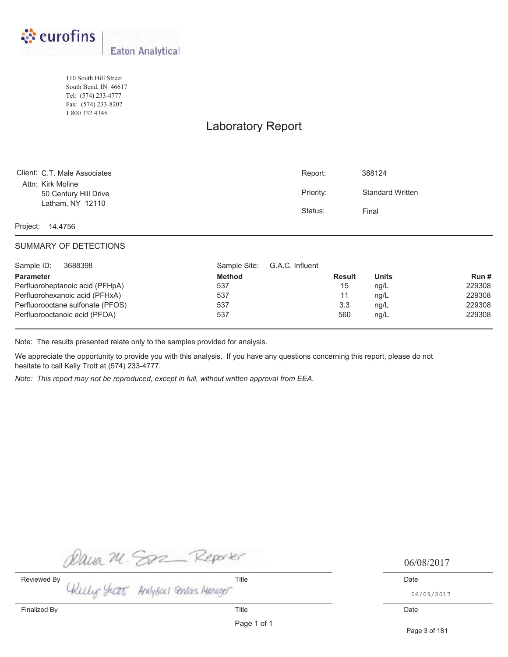

110 South Hill Street South Bend, IN 46617 Tel: (574) 233-4777 Fax: (574) 233-8207 1 800 332 4345

## Laboratory Report

| Client: C.T. Male Associates               | Report:   | 388124                  |
|--------------------------------------------|-----------|-------------------------|
| Attn: Kirk Moline<br>50 Century Hill Drive | Priority: | <b>Standard Written</b> |
| Latham, NY 12110                           | Status:   | Final                   |

Project: 14.4756

### SUMMARY OF DETECTIONS

| Sample ID:<br>3688398            | G.A.C. Influent<br>Sample Site: |               |              |        |
|----------------------------------|---------------------------------|---------------|--------------|--------|
| <b>Parameter</b>                 | <b>Method</b>                   | <b>Result</b> | <b>Units</b> | Run#   |
| Perfluoroheptanoic acid (PFHpA)  | 537                             | 15            | ng/L         | 229308 |
| Perfluorohexanoic acid (PFHxA)   | 537                             | 11            | ng/L         | 229308 |
| Perfluorooctane sulfonate (PFOS) | 537                             | 3.3           | ng/L         | 229308 |
| Perfluorooctanoic acid (PFOA)    | 537                             | 560           | ng/L         | 229308 |

Note: The results presented relate only to the samples provided for analysis.

We appreciate the opportunity to provide you with this analysis. If you have any questions concerning this report, please do not hesitate to call Kelly Trott at (574) 233-4777.

*Note: This report may not be reproduced, except in full, without written approval from EEA.*

Dava M. Son Reporter 106/1<br>Reviewed By Title Title Date

06/08/2017

06/09/2017

Page 1 of 1

Page 3 of 181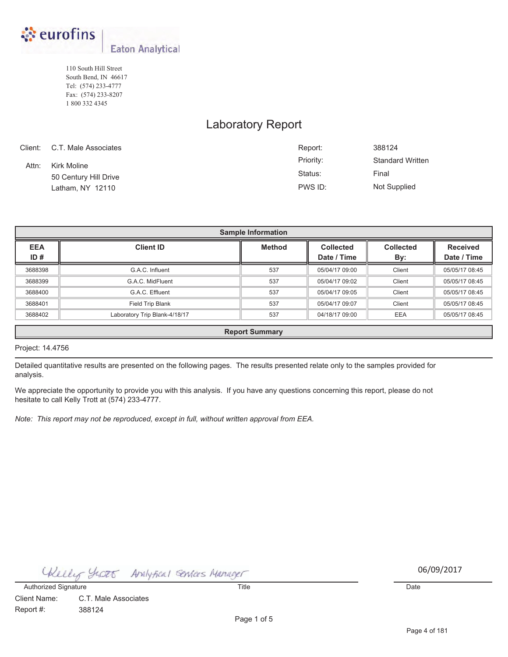

110 South Hill Street South Bend, IN 46617 Tel: (574) 233-4777 Fax: (574) 233-8207 1 800 332 4345

## Laboratory Report

|       | Client: C.T. Male Associates | Report:   | 388124                  |
|-------|------------------------------|-----------|-------------------------|
| Attn: | Kirk Moline                  | Priority: | <b>Standard Written</b> |
|       | 50 Century Hill Drive        | Status:   | Final                   |
|       | Latham, NY 12110             | PWS ID:   | Not Supplied            |

|                                                                                                            | <b>Sample Information</b>                                                       |     |                |        |                |  |  |  |  |  |
|------------------------------------------------------------------------------------------------------------|---------------------------------------------------------------------------------|-----|----------------|--------|----------------|--|--|--|--|--|
| <b>EEA</b><br><b>Client ID</b><br><b>Method</b><br><b>Collected</b><br><b>Received</b><br><b>Collected</b> |                                                                                 |     |                |        |                |  |  |  |  |  |
| ID#                                                                                                        |                                                                                 |     | Date / Time    | By:    | Date / Time    |  |  |  |  |  |
| 3688398                                                                                                    | G.A.C. Influent                                                                 | 537 | 05/04/17 09:00 | Client | 05/05/17 08:45 |  |  |  |  |  |
| 3688399                                                                                                    | G.A.C. MidFluent                                                                | 537 | 05/04/17 09:02 | Client | 05/05/17 08:45 |  |  |  |  |  |
| 3688400                                                                                                    | G.A.C. Effluent                                                                 | 537 | 05/04/17 09:05 | Client | 05/05/17 08:45 |  |  |  |  |  |
| 3688401                                                                                                    | Field Trip Blank                                                                | 537 | 05/04/17 09:07 | Client | 05/05/17 08:45 |  |  |  |  |  |
| 3688402                                                                                                    | 537<br>Laboratory Trip Blank-4/18/17<br>04/18/17 09:00<br>EEA<br>05/05/17 08:45 |     |                |        |                |  |  |  |  |  |
|                                                                                                            | <b>Report Summary</b>                                                           |     |                |        |                |  |  |  |  |  |

### Project: 14.4756

Detailed quantitative results are presented on the following pages. The results presented relate only to the samples provided for analysis.

We appreciate the opportunity to provide you with this analysis. If you have any questions concerning this report, please do not hesitate to call Kelly Trott at (574) 233-4777.

*Note: This report may not be reproduced, except in full, without written approval from EEA.*

Analytical Senices Manager Chelly Scott

06/07/2017 06/09/2017

Client Name: Report #: C.T. Male Associates 388124 Authorized Signature Date Date Control of Title Title Control of the Date Date Date Date Date Date

Page 1 of 5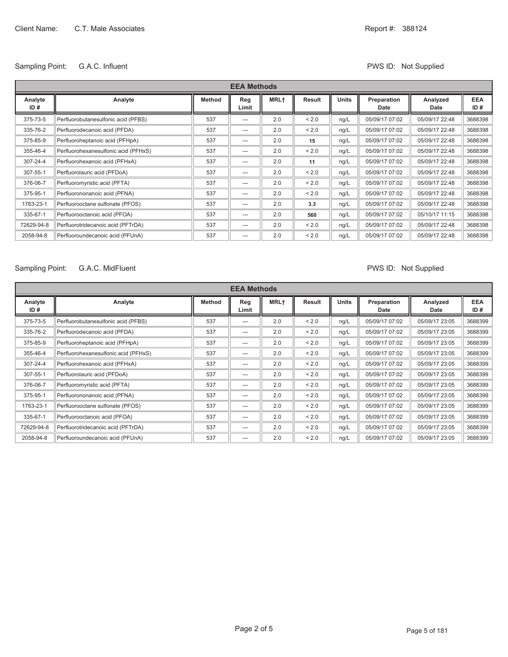### Sampling Point: G.A.C. Influent Contract Contract Contract Contract Contract PWS ID: Not Supplied

| <b>EEA Methods</b> |                                      |               |              |             |        |              |                     |                  |                   |
|--------------------|--------------------------------------|---------------|--------------|-------------|--------|--------------|---------------------|------------------|-------------------|
| Analyte<br>ID#     | Analyte                              | <b>Method</b> | Reg<br>Limit | <b>MRL+</b> | Result | <b>Units</b> | Preparation<br>Date | Analyzed<br>Date | <b>EEA</b><br>ID# |
| 375-73-5           | Perfluorobutanesulfonic acid (PFBS)  | 537           | $---$        | 2.0         | < 2.0  | ng/L         | 05/09/17 07:02      | 05/09/17 22:48   | 3688398           |
| 335-76-2           | Perfluorodecanoic acid (PFDA)        | 537           | ---          | 2.0         | < 2.0  | ng/L         | 05/09/17 07:02      | 05/09/17 22:48   | 3688398           |
| 375-85-9           | Perfluoroheptanoic acid (PFHpA)      | 537           | ---          | 2.0         | 15     | ng/L         | 05/09/17 07:02      | 05/09/17 22:48   | 3688398           |
| 355-46-4           | Perfluorohexanesulfonic acid (PFHxS) | 537           | ---          | 2.0         | < 2.0  | ng/L         | 05/09/17 07:02      | 05/09/17 22:48   | 3688398           |
| 307-24-4           | Perfluorohexanoic acid (PFHxA)       | 537           | ---          | 2.0         | 11     | ng/L         | 05/09/17 07:02      | 05/09/17 22:48   | 3688398           |
| 307-55-1           | Perfluorolauric acid (PFDoA)         | 537           | $---$        | 2.0         | < 2.0  | ng/L         | 05/09/17 07:02      | 05/09/17 22:48   | 3688398           |
| 376-06-7           | Perfluoromyristic acid (PFTA)        | 537           | ---          | 2.0         | < 2.0  | ng/L         | 05/09/17 07:02      | 05/09/17 22:48   | 3688398           |
| 375-95-1           | Perfluorononanoic acid (PFNA)        | 537           | $---$        | 2.0         | < 2.0  | ng/L         | 05/09/17 07:02      | 05/09/17 22:48   | 3688398           |
| 1763-23-1          | Perfluorooctane sulfonate (PFOS)     | 537           | $---$        | 2.0         | 3.3    | ng/L         | 05/09/17 07:02      | 05/09/17 22:48   | 3688398           |
| 335-67-1           | Perfluorooctanoic acid (PFOA)        | 537           | $---$        | 2.0         | 560    | ng/L         | 05/09/17 07:02      | 05/10/17 11:15   | 3688398           |
| 72629-94-8         | Perfluorotridecanoic acid (PFTrDA)   | 537           | $---$        | 2.0         | < 2.0  | ng/L         | 05/09/17 07:02      | 05/09/17 22:48   | 3688398           |
| 2058-94-8          | Perfluoroundecanoic acid (PFUnA)     | 537           | $---$        | 2.0         | < 2.0  | ng/L         | 05/09/17 07:02      | 05/09/17 22:48   | 3688398           |

### Sampling Point: G.A.C. MidFluent Canadian Communication of the PWS ID: Not Supplied

|                | <b>EEA Methods</b>                   |               |              |             |               |              |                     |                  |                   |
|----------------|--------------------------------------|---------------|--------------|-------------|---------------|--------------|---------------------|------------------|-------------------|
| Analyte<br>ID# | Analyte                              | <b>Method</b> | Reg<br>Limit | <b>MRL+</b> | <b>Result</b> | <b>Units</b> | Preparation<br>Date | Analyzed<br>Date | <b>EEA</b><br>ID# |
| 375-73-5       | Perfluorobutanesulfonic acid (PFBS)  | 537           | ---          | 2.0         | < 2.0         | ng/L         | 05/09/17 07:02      | 05/09/17 23:05   | 3688399           |
| 335-76-2       | Perfluorodecanoic acid (PFDA)        | 537           | ---          | 2.0         | < 2.0         | ng/L         | 05/09/17 07:02      | 05/09/17 23:05   | 3688399           |
| 375-85-9       | Perfluoroheptanoic acid (PFHpA)      | 537           | ---          | 2.0         | < 2.0         | ng/L         | 05/09/17 07:02      | 05/09/17 23:05   | 3688399           |
| 355-46-4       | Perfluorohexanesulfonic acid (PFHxS) | 537           | ---          | 2.0         | < 2.0         | ng/L         | 05/09/17 07:02      | 05/09/17 23:05   | 3688399           |
| 307-24-4       | Perfluorohexanoic acid (PFHxA)       | 537           | ---          | 2.0         | < 2.0         | ng/L         | 05/09/17 07:02      | 05/09/17 23:05   | 3688399           |
| 307-55-1       | Perfluorolauric acid (PFDoA)         | 537           | ---          | 2.0         | < 2.0         | ng/L         | 05/09/17 07:02      | 05/09/17 23:05   | 3688399           |
| 376-06-7       | Perfluoromyristic acid (PFTA)        | 537           | ---          | 2.0         | < 2.0         | ng/L         | 05/09/17 07:02      | 05/09/17 23:05   | 3688399           |
| 375-95-1       | Perfluorononanoic acid (PFNA)        | 537           | ---          | 2.0         | < 2.0         | ng/L         | 05/09/17 07:02      | 05/09/17 23:05   | 3688399           |
| 1763-23-1      | Perfluorooctane sulfonate (PFOS)     | 537           | ---          | 2.0         | < 2.0         | ng/L         | 05/09/17 07:02      | 05/09/17 23:05   | 3688399           |
| 335-67-1       | Perfluorooctanoic acid (PFOA)        | 537           | ---          | 2.0         | < 2.0         | ng/L         | 05/09/17 07:02      | 05/09/17 23:05   | 3688399           |
| 72629-94-8     | Perfluorotridecanoic acid (PFTrDA)   | 537           | ---          | 2.0         | < 2.0         | ng/L         | 05/09/17 07:02      | 05/09/17 23:05   | 3688399           |
| 2058-94-8      | Perfluoroundecanoic acid (PFUnA)     | 537           | ---          | 2.0         | < 2.0         | ng/L         | 05/09/17 07:02      | 05/09/17 23:05   | 3688399           |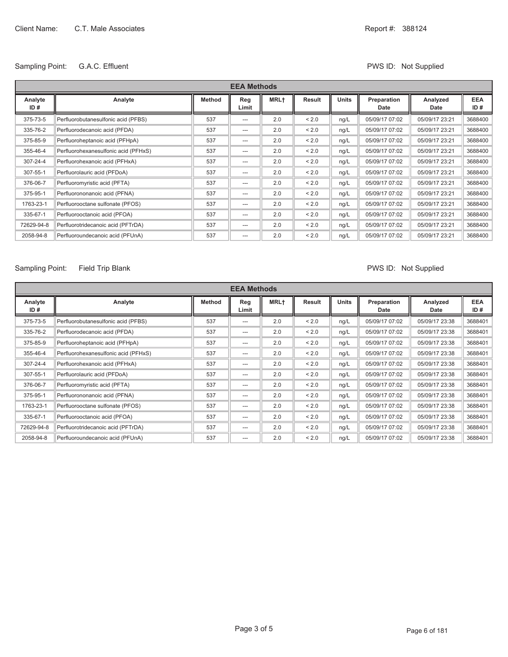### Sampling Point: G.A.C. Effluent COMPUTE: Not Supplied

| <b>EEA Methods</b> |                                      |        |              |             |        |              |                     |                  |                   |
|--------------------|--------------------------------------|--------|--------------|-------------|--------|--------------|---------------------|------------------|-------------------|
| Analyte<br>ID#     | Analyte                              | Method | Reg<br>Limit | <b>MRL+</b> | Result | <b>Units</b> | Preparation<br>Date | Analyzed<br>Date | <b>EEA</b><br>ID# |
| 375-73-5           | Perfluorobutanesulfonic acid (PFBS)  | 537    | ---          | 2.0         | < 2.0  | ng/L         | 05/09/17 07:02      | 05/09/17 23:21   | 3688400           |
| 335-76-2           | Perfluorodecanoic acid (PFDA)        | 537    | ---          | 2.0         | < 2.0  | ng/L         | 05/09/17 07:02      | 05/09/17 23:21   | 3688400           |
| 375-85-9           | Perfluoroheptanoic acid (PFHpA)      | 537    | ---          | 2.0         | < 2.0  | ng/L         | 05/09/17 07:02      | 05/09/17 23:21   | 3688400           |
| 355-46-4           | Perfluorohexanesulfonic acid (PFHxS) | 537    | ---          | 2.0         | < 2.0  | ng/L         | 05/09/17 07:02      | 05/09/17 23:21   | 3688400           |
| 307-24-4           | Perfluorohexanoic acid (PFHxA)       | 537    | ---          | 2.0         | < 2.0  | ng/L         | 05/09/17 07:02      | 05/09/17 23:21   | 3688400           |
| 307-55-1           | Perfluorolauric acid (PFDoA)         | 537    | ---          | 2.0         | < 2.0  | ng/L         | 05/09/17 07:02      | 05/09/17 23:21   | 3688400           |
| 376-06-7           | Perfluoromyristic acid (PFTA)        | 537    | ---          | 2.0         | < 2.0  | ng/L         | 05/09/17 07:02      | 05/09/17 23:21   | 3688400           |
| 375-95-1           | Perfluorononanoic acid (PFNA)        | 537    | ---          | 2.0         | < 2.0  | ng/L         | 05/09/17 07:02      | 05/09/17 23:21   | 3688400           |
| 1763-23-1          | Perfluorooctane sulfonate (PFOS)     | 537    | ---          | 2.0         | < 2.0  | ng/L         | 05/09/17 07:02      | 05/09/17 23:21   | 3688400           |
| 335-67-1           | Perfluorooctanoic acid (PFOA)        | 537    | ---          | 2.0         | < 2.0  | ng/L         | 05/09/17 07:02      | 05/09/17 23:21   | 3688400           |
| 72629-94-8         | Perfluorotridecanoic acid (PFTrDA)   | 537    | ---          | 2.0         | < 2.0  | ng/L         | 05/09/17 07:02      | 05/09/17 23:21   | 3688400           |
| 2058-94-8          | Perfluoroundecanoic acid (PFUnA)     | 537    | ---          | 2.0         | < 2.0  | ng/L         | 05/09/17 07:02      | 05/09/17 23:21   | 3688400           |

### Sampling Point: Field Trip Blank **PWS ID: Not Supplied**

|                | <b>EEA Methods</b>                   |               |              |                  |        |              |                     |                  |                   |
|----------------|--------------------------------------|---------------|--------------|------------------|--------|--------------|---------------------|------------------|-------------------|
| Analyte<br>ID# | Analyte                              | <b>Method</b> | Reg<br>Limit | MRL <sup>+</sup> | Result | <b>Units</b> | Preparation<br>Date | Analyzed<br>Date | <b>EEA</b><br>ID# |
| 375-73-5       | Perfluorobutanesulfonic acid (PFBS)  | 537           | $---$        | 2.0              | < 2.0  | ng/L         | 05/09/17 07:02      | 05/09/17 23:38   | 3688401           |
| 335-76-2       | Perfluorodecanoic acid (PFDA)        | 537           | ---          | 2.0              | < 2.0  | ng/L         | 05/09/17 07:02      | 05/09/17 23:38   | 3688401           |
| 375-85-9       | Perfluoroheptanoic acid (PFHpA)      | 537           | ---          | 2.0              | < 2.0  | ng/L         | 05/09/17 07:02      | 05/09/17 23:38   | 3688401           |
| 355-46-4       | Perfluorohexanesulfonic acid (PFHxS) | 537           | ---          | 2.0              | < 2.0  | ng/L         | 05/09/17 07:02      | 05/09/17 23:38   | 3688401           |
| 307-24-4       | Perfluorohexanoic acid (PFHxA)       | 537           | ---          | 2.0              | < 2.0  | ng/L         | 05/09/17 07:02      | 05/09/17 23:38   | 3688401           |
| 307-55-1       | Perfluorolauric acid (PFDoA)         | 537           | ---          | 2.0              | < 2.0  | ng/L         | 05/09/17 07:02      | 05/09/17 23:38   | 3688401           |
| 376-06-7       | Perfluoromyristic acid (PFTA)        | 537           | $---$        | 2.0              | < 2.0  | ng/L         | 05/09/17 07:02      | 05/09/17 23:38   | 3688401           |
| 375-95-1       | Perfluorononanoic acid (PFNA)        | 537           | ---          | 2.0              | < 2.0  | ng/L         | 05/09/17 07:02      | 05/09/17 23:38   | 3688401           |
| 1763-23-1      | Perfluorooctane sulfonate (PFOS)     | 537           | $---$        | 2.0              | < 2.0  | ng/L         | 05/09/17 07:02      | 05/09/17 23:38   | 3688401           |
| 335-67-1       | Perfluorooctanoic acid (PFOA)        | 537           | ---          | 2.0              | < 2.0  | ng/L         | 05/09/17 07:02      | 05/09/17 23:38   | 3688401           |
| 72629-94-8     | Perfluorotridecanoic acid (PFTrDA)   | 537           | $---$        | 2.0              | < 2.0  | ng/L         | 05/09/17 07:02      | 05/09/17 23:38   | 3688401           |
| 2058-94-8      | Perfluoroundecanoic acid (PFUnA)     | 537           | $---$        | 2.0              | < 2.0  | ng/L         | 05/09/17 07:02      | 05/09/17 23:38   | 3688401           |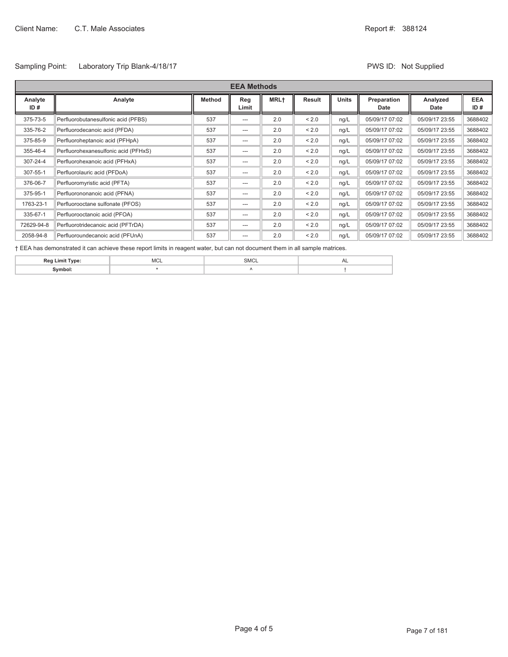### Sampling Point: Laboratory Trip Blank-4/18/17 **PWS ID: Not Supplied** PWS ID: Not Supplied

|                | <b>EEA Methods</b>                   |               |              |                  |        |              |                     |                  |                   |
|----------------|--------------------------------------|---------------|--------------|------------------|--------|--------------|---------------------|------------------|-------------------|
| Analyte<br>ID# | Analyte                              | <b>Method</b> | Reg<br>Limit | MRL <sup>+</sup> | Result | <b>Units</b> | Preparation<br>Date | Analyzed<br>Date | <b>EEA</b><br>ID# |
| 375-73-5       | Perfluorobutanesulfonic acid (PFBS)  | 537           | $---$        | 2.0              | < 2.0  | ng/L         | 05/09/17 07:02      | 05/09/17 23:55   | 3688402           |
| 335-76-2       | Perfluorodecanoic acid (PFDA)        | 537           | $---$        | 2.0              | < 2.0  | ng/L         | 05/09/17 07:02      | 05/09/17 23:55   | 3688402           |
| 375-85-9       | Perfluoroheptanoic acid (PFHpA)      | 537           | $---$        | 2.0              | < 2.0  | ng/L         | 05/09/17 07:02      | 05/09/17 23:55   | 3688402           |
| 355-46-4       | Perfluorohexanesulfonic acid (PFHxS) | 537           | $---$        | 2.0              | < 2.0  | ng/L         | 05/09/17 07:02      | 05/09/17 23:55   | 3688402           |
| 307-24-4       | Perfluorohexanoic acid (PFHxA)       | 537           | $---$        | 2.0              | < 2.0  | ng/L         | 05/09/17 07:02      | 05/09/17 23:55   | 3688402           |
| 307-55-1       | Perfluorolauric acid (PFDoA)         | 537           | $---$        | 2.0              | < 2.0  | ng/L         | 05/09/17 07:02      | 05/09/17 23:55   | 3688402           |
| 376-06-7       | Perfluoromyristic acid (PFTA)        | 537           | $---$        | 2.0              | < 2.0  | ng/L         | 05/09/17 07:02      | 05/09/17 23:55   | 3688402           |
| 375-95-1       | Perfluorononanoic acid (PFNA)        | 537           | $---$        | 2.0              | < 2.0  | ng/L         | 05/09/17 07:02      | 05/09/17 23:55   | 3688402           |
| 1763-23-1      | Perfluorooctane sulfonate (PFOS)     | 537           | $---$        | 2.0              | < 2.0  | ng/L         | 05/09/17 07:02      | 05/09/17 23:55   | 3688402           |
| 335-67-1       | Perfluorooctanoic acid (PFOA)        | 537           | $---$        | 2.0              | < 2.0  | ng/L         | 05/09/17 07:02      | 05/09/17 23:55   | 3688402           |
| 72629-94-8     | Perfluorotridecanoic acid (PFTrDA)   | 537           | $---$        | 2.0              | < 2.0  | ng/L         | 05/09/17 07:02      | 05/09/17 23:55   | 3688402           |
| 2058-94-8      | Perfluoroundecanoic acid (PFUnA)     | 537           | $---$        | 2.0              | < 2.0  | nq/L         | 05/09/17 07:02      | 05/09/17 23:55   | 3688402           |

Ü EEA has demonstrated it can achieve these report limits in reagent water, but can not document them in all sample matrices.

| $\sim$ | мC | ____ | - |
|--------|----|------|---|
|        |    |      |   |